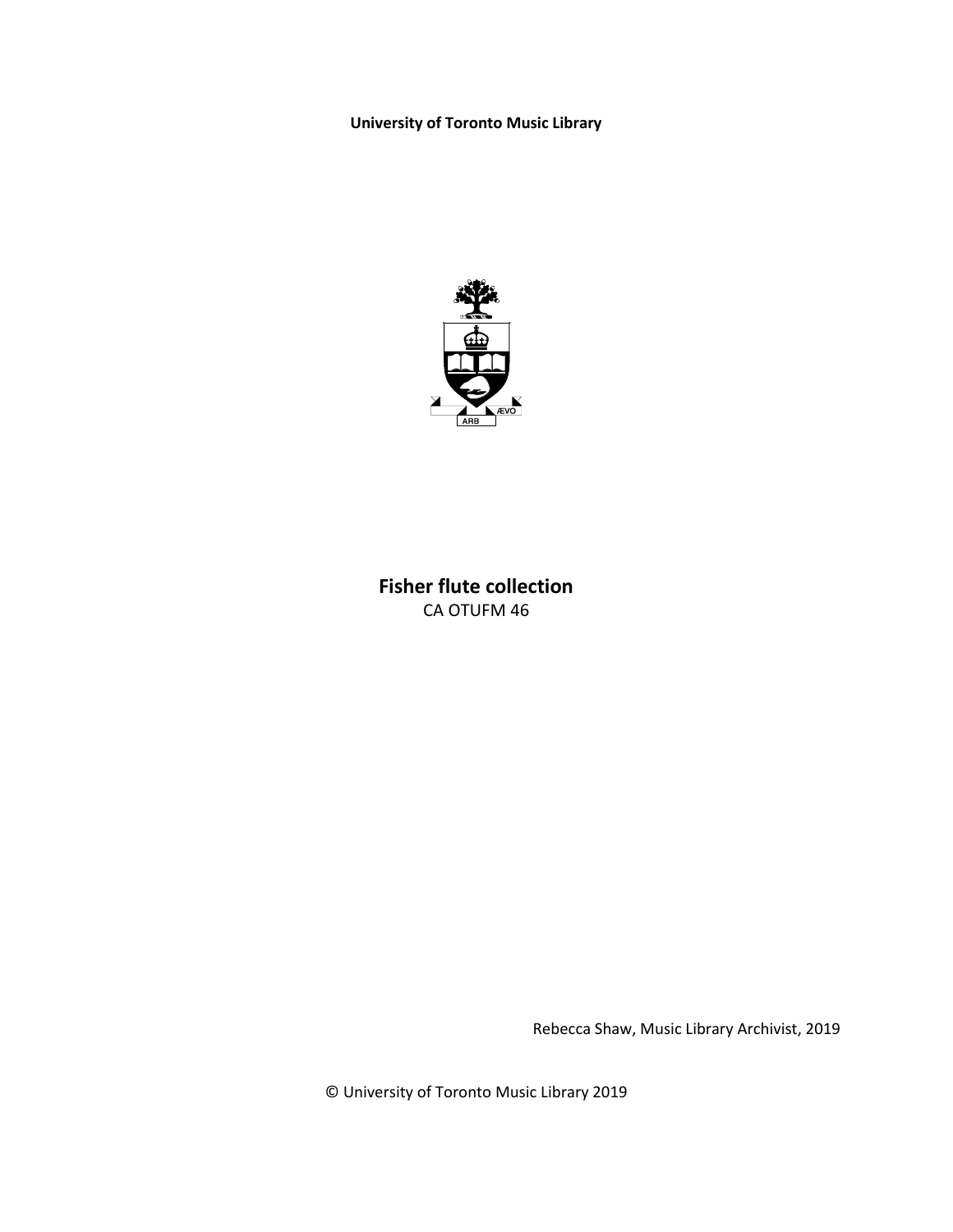**University of Toronto Music Library**



## **Fisher flute collection** CA OTUFM 46

Rebecca Shaw, Music Library Archivist, 2019

© University of Toronto Music Library 2019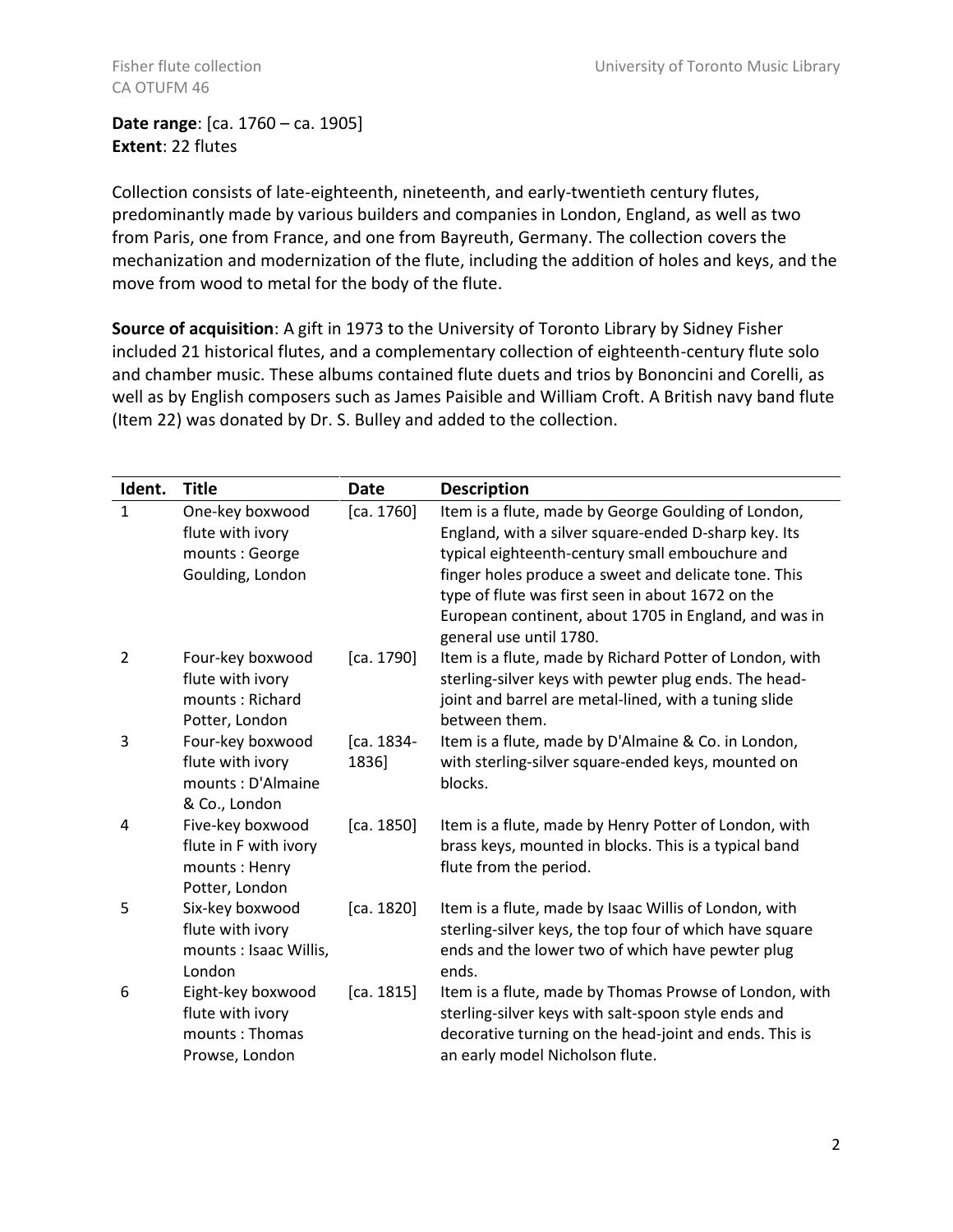## **Date range**: [ca. 1760 – ca. 1905] **Extent**: 22 flutes

Collection consists of late-eighteenth, nineteenth, and early-twentieth century flutes, predominantly made by various builders and companies in London, England, as well as two from Paris, one from France, and one from Bayreuth, Germany. The collection covers the mechanization and modernization of the flute, including the addition of holes and keys, and the move from wood to metal for the body of the flute.

**Source of acquisition**: A gift in 1973 to the University of Toronto Library by Sidney Fisher included 21 historical flutes, and a complementary collection of eighteenth-century flute solo and chamber music. These albums contained flute duets and trios by Bononcini and Corelli, as well as by English composers such as James Paisible and William Croft. A British navy band flute (Item 22) was donated by Dr. S. Bulley and added to the collection.

| Ident.         | <b>Title</b>                                                                 | <b>Date</b>         | <b>Description</b>                                                                                                                                                                                                                                                                                                                                              |
|----------------|------------------------------------------------------------------------------|---------------------|-----------------------------------------------------------------------------------------------------------------------------------------------------------------------------------------------------------------------------------------------------------------------------------------------------------------------------------------------------------------|
| $\mathbf{1}$   | One-key boxwood<br>flute with ivory<br>mounts : George<br>Goulding, London   | [ca. 1760]          | Item is a flute, made by George Goulding of London,<br>England, with a silver square-ended D-sharp key. Its<br>typical eighteenth-century small embouchure and<br>finger holes produce a sweet and delicate tone. This<br>type of flute was first seen in about 1672 on the<br>European continent, about 1705 in England, and was in<br>general use until 1780. |
| $\overline{2}$ | Four-key boxwood<br>flute with ivory<br>mounts: Richard<br>Potter, London    | [ca. 1790]          | Item is a flute, made by Richard Potter of London, with<br>sterling-silver keys with pewter plug ends. The head-<br>joint and barrel are metal-lined, with a tuning slide<br>between them.                                                                                                                                                                      |
| 3              | Four-key boxwood<br>flute with ivory<br>mounts: D'Almaine<br>& Co., London   | [ca. 1834-<br>1836] | Item is a flute, made by D'Almaine & Co. in London,<br>with sterling-silver square-ended keys, mounted on<br>blocks.                                                                                                                                                                                                                                            |
| 4              | Five-key boxwood<br>flute in F with ivory<br>mounts: Henry<br>Potter, London | [ca. 1850]          | Item is a flute, made by Henry Potter of London, with<br>brass keys, mounted in blocks. This is a typical band<br>flute from the period.                                                                                                                                                                                                                        |
| 5              | Six-key boxwood<br>flute with ivory<br>mounts : Isaac Willis,<br>London      | [ca. 1820]          | Item is a flute, made by Isaac Willis of London, with<br>sterling-silver keys, the top four of which have square<br>ends and the lower two of which have pewter plug<br>ends.                                                                                                                                                                                   |
| 6              | Eight-key boxwood<br>flute with ivory<br>mounts: Thomas<br>Prowse, London    | [ca. 1815]          | Item is a flute, made by Thomas Prowse of London, with<br>sterling-silver keys with salt-spoon style ends and<br>decorative turning on the head-joint and ends. This is<br>an early model Nicholson flute.                                                                                                                                                      |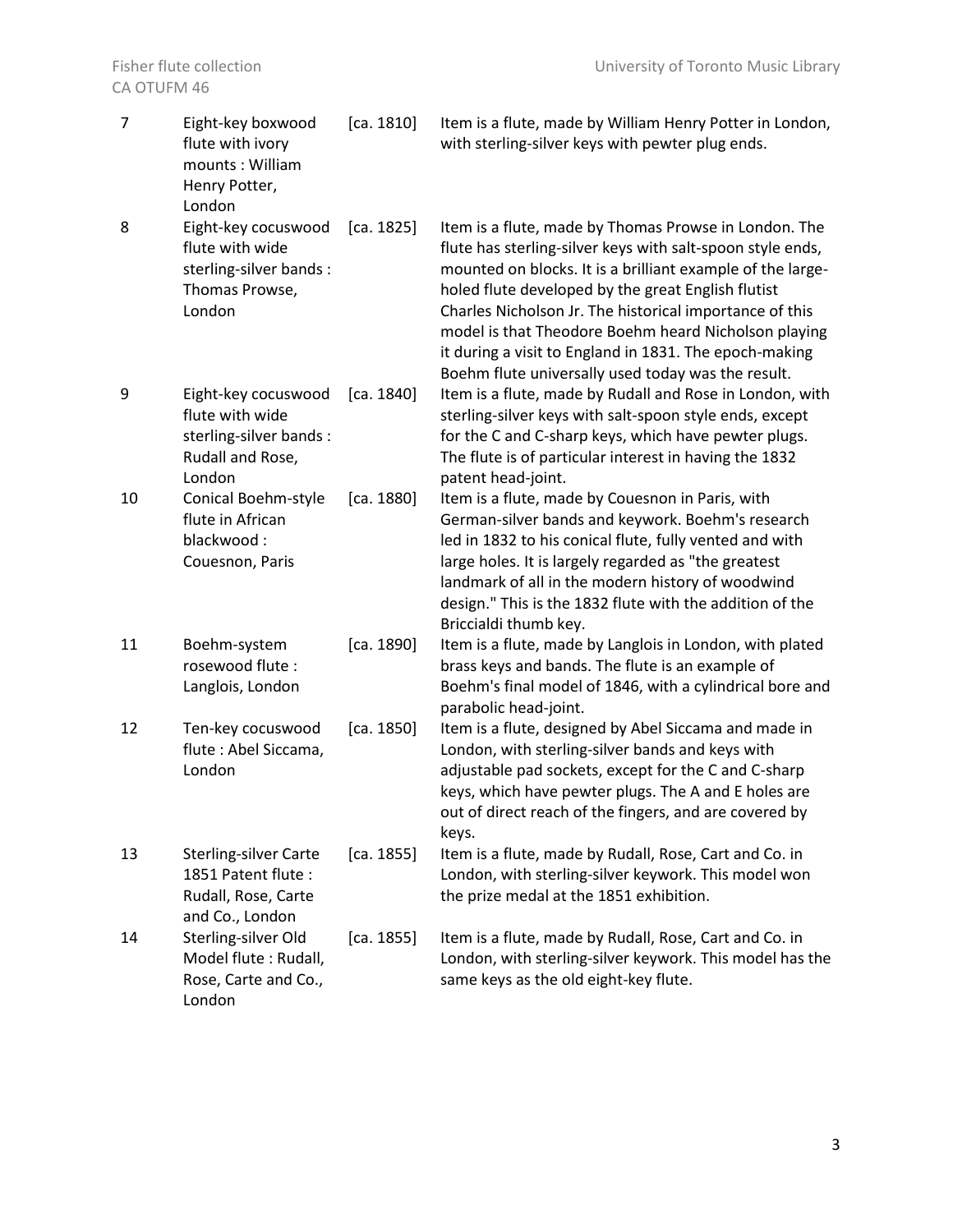| $\overline{7}$ | Eight-key boxwood<br>flute with ivory<br>mounts: William<br>Henry Potter,<br>London             | [ca. 1810] | Item is a flute, made by William Henry Potter in London,<br>with sterling-silver keys with pewter plug ends.                                                                                                                                                                                                                                                                                                                                                               |
|----------------|-------------------------------------------------------------------------------------------------|------------|----------------------------------------------------------------------------------------------------------------------------------------------------------------------------------------------------------------------------------------------------------------------------------------------------------------------------------------------------------------------------------------------------------------------------------------------------------------------------|
| 8              | Eight-key cocuswood<br>flute with wide<br>sterling-silver bands:<br>Thomas Prowse,<br>London    | [ca. 1825] | Item is a flute, made by Thomas Prowse in London. The<br>flute has sterling-silver keys with salt-spoon style ends,<br>mounted on blocks. It is a brilliant example of the large-<br>holed flute developed by the great English flutist<br>Charles Nicholson Jr. The historical importance of this<br>model is that Theodore Boehm heard Nicholson playing<br>it during a visit to England in 1831. The epoch-making<br>Boehm flute universally used today was the result. |
| 9              | Eight-key cocuswood<br>flute with wide<br>sterling-silver bands :<br>Rudall and Rose,<br>London | [ca. 1840] | Item is a flute, made by Rudall and Rose in London, with<br>sterling-silver keys with salt-spoon style ends, except<br>for the C and C-sharp keys, which have pewter plugs.<br>The flute is of particular interest in having the 1832<br>patent head-joint.                                                                                                                                                                                                                |
| 10             | <b>Conical Boehm-style</b><br>flute in African<br>blackwood:<br>Couesnon, Paris                 | [ca. 1880] | Item is a flute, made by Couesnon in Paris, with<br>German-silver bands and keywork. Boehm's research<br>led in 1832 to his conical flute, fully vented and with<br>large holes. It is largely regarded as "the greatest<br>landmark of all in the modern history of woodwind<br>design." This is the 1832 flute with the addition of the<br>Briccialdi thumb key.                                                                                                         |
| 11             | Boehm-system<br>rosewood flute:<br>Langlois, London                                             | [ca. 1890] | Item is a flute, made by Langlois in London, with plated<br>brass keys and bands. The flute is an example of<br>Boehm's final model of 1846, with a cylindrical bore and<br>parabolic head-joint.                                                                                                                                                                                                                                                                          |
| 12             | Ten-key cocuswood<br>flute : Abel Siccama,<br>London                                            | [ca. 1850] | Item is a flute, designed by Abel Siccama and made in<br>London, with sterling-silver bands and keys with<br>adjustable pad sockets, except for the C and C-sharp<br>keys, which have pewter plugs. The A and E holes are<br>out of direct reach of the fingers, and are covered by<br>keys.                                                                                                                                                                               |
| 13             | <b>Sterling-silver Carte</b><br>1851 Patent flute:<br>Rudall, Rose, Carte<br>and Co., London    | [ca. 1855] | Item is a flute, made by Rudall, Rose, Cart and Co. in<br>London, with sterling-silver keywork. This model won<br>the prize medal at the 1851 exhibition.                                                                                                                                                                                                                                                                                                                  |
| 14             | Sterling-silver Old<br>Model flute : Rudall,<br>Rose, Carte and Co.,<br>London                  | [ca. 1855] | Item is a flute, made by Rudall, Rose, Cart and Co. in<br>London, with sterling-silver keywork. This model has the<br>same keys as the old eight-key flute.                                                                                                                                                                                                                                                                                                                |